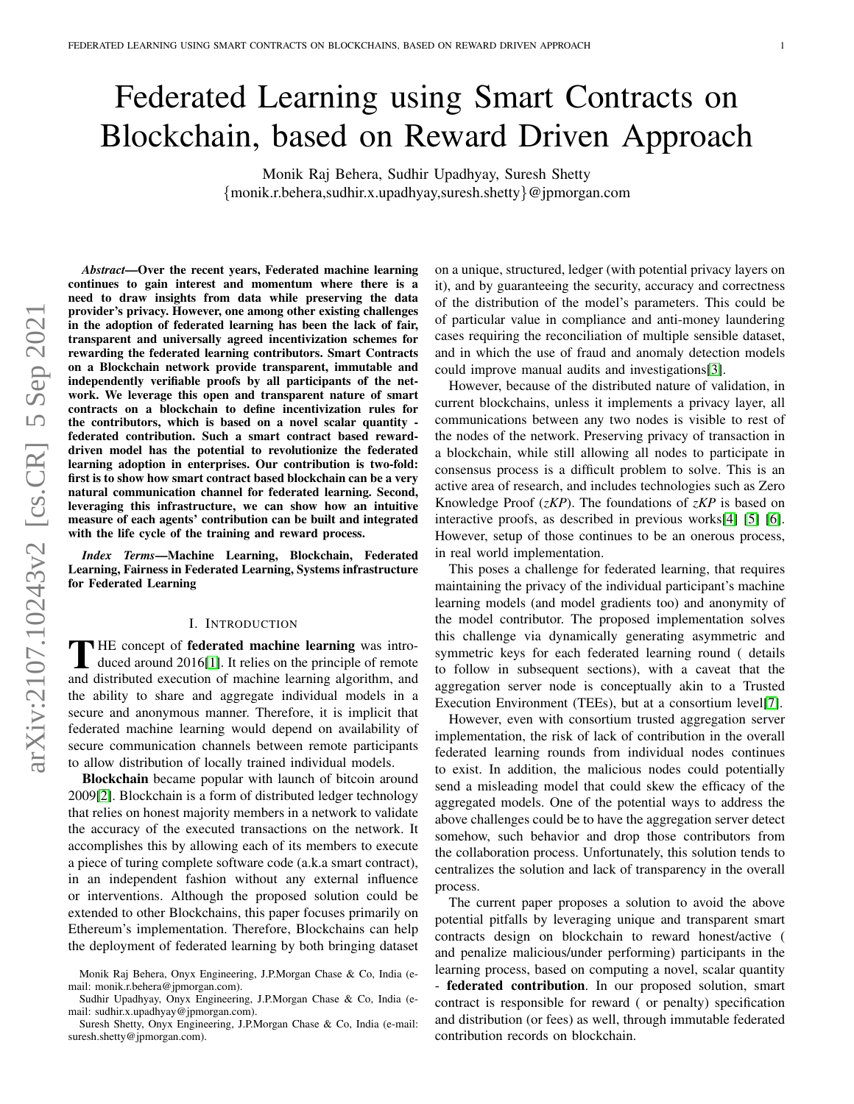# Federated Learning using Smart Contracts on Blockchain, based on Reward Driven Approach

Monik Raj Behera, Sudhir Upadhyay, Suresh Shetty {monik.r.behera,sudhir.x.upadhyay,suresh.shetty}@jpmorgan.com

*Abstract*—Over the recent years, Federated machine learning continues to gain interest and momentum where there is a need to draw insights from data while preserving the data provider's privacy. However, one among other existing challenges in the adoption of federated learning has been the lack of fair, transparent and universally agreed incentivization schemes for rewarding the federated learning contributors. Smart Contracts on a Blockchain network provide transparent, immutable and independently verifiable proofs by all participants of the network. We leverage this open and transparent nature of smart contracts on a blockchain to define incentivization rules for the contributors, which is based on a novel scalar quantity federated contribution. Such a smart contract based rewarddriven model has the potential to revolutionize the federated learning adoption in enterprises. Our contribution is two-fold: first is to show how smart contract based blockchain can be a very natural communication channel for federated learning. Second, leveraging this infrastructure, we can show how an intuitive measure of each agents' contribution can be built and integrated with the life cycle of the training and reward process.

*Index Terms*—Machine Learning, Blockchain, Federated Learning, Fairness in Federated Learning, Systems infrastructure for Federated Learning

#### I. INTRODUCTION

THE concept of **federated machine learning** was intro-<br>duced around 2016[\[1\]](#page-7-0). It relies on the principle of remote **THE concept of federated machine learning** was introand distributed execution of machine learning algorithm, and the ability to share and aggregate individual models in a secure and anonymous manner. Therefore, it is implicit that federated machine learning would depend on availability of secure communication channels between remote participants to allow distribution of locally trained individual models.

Blockchain became popular with launch of bitcoin around 2009[\[2\]](#page-7-1). Blockchain is a form of distributed ledger technology that relies on honest majority members in a network to validate the accuracy of the executed transactions on the network. It accomplishes this by allowing each of its members to execute a piece of turing complete software code (a.k.a smart contract), in an independent fashion without any external influence or interventions. Although the proposed solution could be extended to other Blockchains, this paper focuses primarily on Ethereum's implementation. Therefore, Blockchains can help the deployment of federated learning by both bringing dataset

Suresh Shetty, Onyx Engineering, J.P.Morgan Chase & Co, India (e-mail: suresh.shetty@jpmorgan.com).

on a unique, structured, ledger (with potential privacy layers on it), and by guaranteeing the security, accuracy and correctness of the distribution of the model's parameters. This could be of particular value in compliance and anti-money laundering cases requiring the reconciliation of multiple sensible dataset, and in which the use of fraud and anomaly detection models could improve manual audits and investigations[\[3\]](#page-7-2).

However, because of the distributed nature of validation, in current blockchains, unless it implements a privacy layer, all communications between any two nodes is visible to rest of the nodes of the network. Preserving privacy of transaction in a blockchain, while still allowing all nodes to participate in consensus process is a difficult problem to solve. This is an active area of research, and includes technologies such as Zero Knowledge Proof (*zKP*). The foundations of *zKP* is based on interactive proofs, as described in previous works[\[4\]](#page-7-3) [\[5\]](#page-7-4) [\[6\]](#page-7-5). However, setup of those continues to be an onerous process, in real world implementation.

This poses a challenge for federated learning, that requires maintaining the privacy of the individual participant's machine learning models (and model gradients too) and anonymity of the model contributor. The proposed implementation solves this challenge via dynamically generating asymmetric and symmetric keys for each federated learning round ( details to follow in subsequent sections), with a caveat that the aggregation server node is conceptually akin to a Trusted Execution Environment (TEEs), but at a consortium level[\[7\]](#page-7-6).

However, even with consortium trusted aggregation server implementation, the risk of lack of contribution in the overall federated learning rounds from individual nodes continues to exist. In addition, the malicious nodes could potentially send a misleading model that could skew the efficacy of the aggregated models. One of the potential ways to address the above challenges could be to have the aggregation server detect somehow, such behavior and drop those contributors from the collaboration process. Unfortunately, this solution tends to centralizes the solution and lack of transparency in the overall process.

The current paper proposes a solution to avoid the above potential pitfalls by leveraging unique and transparent smart contracts design on blockchain to reward honest/active ( and penalize malicious/under performing) participants in the learning process, based on computing a novel, scalar quantity - federated contribution. In our proposed solution, smart contract is responsible for reward ( or penalty) specification and distribution (or fees) as well, through immutable federated contribution records on blockchain.

Monik Raj Behera, Onyx Engineering, J.P.Morgan Chase & Co, India (email: monik.r.behera@jpmorgan.com).

Sudhir Upadhyay, Onyx Engineering, J.P.Morgan Chase & Co, India (email: sudhir.x.upadhyay@jpmorgan.com).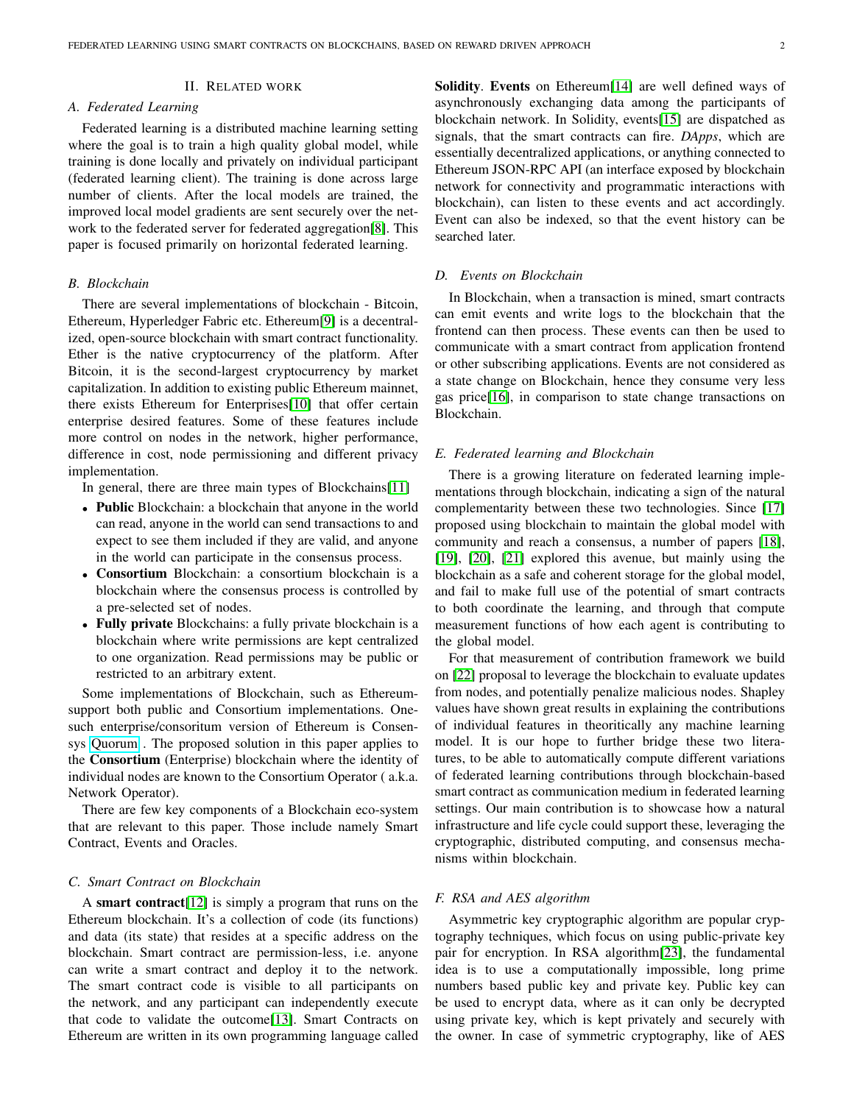## II. RELATED WORK

# *A. Federated Learning*

Federated learning is a distributed machine learning setting where the goal is to train a high quality global model, while training is done locally and privately on individual participant (federated learning client). The training is done across large number of clients. After the local models are trained, the improved local model gradients are sent securely over the network to the federated server for federated aggregation[\[8\]](#page-7-7). This paper is focused primarily on horizontal federated learning.

## *B. Blockchain*

There are several implementations of blockchain - Bitcoin, Ethereum, Hyperledger Fabric etc. Ethereum[\[9\]](#page-7-8) is a decentralized, open-source blockchain with smart contract functionality. Ether is the native cryptocurrency of the platform. After Bitcoin, it is the second-largest cryptocurrency by market capitalization. In addition to existing public Ethereum mainnet, there exists Ethereum for Enterprises[\[10\]](#page-7-9) that offer certain enterprise desired features. Some of these features include more control on nodes in the network, higher performance, difference in cost, node permissioning and different privacy implementation.

In general, there are three main types of Blockchains[\[11\]](#page-7-10)

- Public Blockchain: a blockchain that anyone in the world can read, anyone in the world can send transactions to and expect to see them included if they are valid, and anyone in the world can participate in the consensus process.
- Consortium Blockchain: a consortium blockchain is a blockchain where the consensus process is controlled by a pre-selected set of nodes.
- Fully private Blockchains: a fully private blockchain is a blockchain where write permissions are kept centralized to one organization. Read permissions may be public or restricted to an arbitrary extent.

Some implementations of Blockchain, such as Ethereumsupport both public and Consortium implementations. Onesuch enterprise/consoritum version of Ethereum is Consensys [Quorum](https://consensys.net/quorum/) . The proposed solution in this paper applies to the Consortium (Enterprise) blockchain where the identity of individual nodes are known to the Consortium Operator ( a.k.a. Network Operator).

There are few key components of a Blockchain eco-system that are relevant to this paper. Those include namely Smart Contract, Events and Oracles.

## *C. Smart Contract on Blockchain*

A smart contract[\[12\]](#page-7-11) is simply a program that runs on the Ethereum blockchain. It's a collection of code (its functions) and data (its state) that resides at a specific address on the blockchain. Smart contract are permission-less, i.e. anyone can write a smart contract and deploy it to the network. The smart contract code is visible to all participants on the network, and any participant can independently execute that code to validate the outcome[\[13\]](#page-7-12). Smart Contracts on Ethereum are written in its own programming language called Solidity. Events on Ethereum[\[14\]](#page-7-13) are well defined ways of asynchronously exchanging data among the participants of blockchain network. In Solidity, events[\[15\]](#page-7-14) are dispatched as signals, that the smart contracts can fire. *DApps*, which are essentially decentralized applications, or anything connected to Ethereum JSON-RPC API (an interface exposed by blockchain network for connectivity and programmatic interactions with blockchain), can listen to these events and act accordingly. Event can also be indexed, so that the event history can be searched later.

## *D. Events on Blockchain*

In Blockchain, when a transaction is mined, smart contracts can emit events and write logs to the blockchain that the frontend can then process. These events can then be used to communicate with a smart contract from application frontend or other subscribing applications. Events are not considered as a state change on Blockchain, hence they consume very less gas price[\[16\]](#page-7-15), in comparison to state change transactions on Blockchain.

## *E. Federated learning and Blockchain*

There is a growing literature on federated learning implementations through blockchain, indicating a sign of the natural complementarity between these two technologies. Since [\[17\]](#page-7-16) proposed using blockchain to maintain the global model with community and reach a consensus, a number of papers [\[18\]](#page-8-0), [\[19\]](#page-8-1), [\[20\]](#page-8-2), [\[21\]](#page-8-3) explored this avenue, but mainly using the blockchain as a safe and coherent storage for the global model, and fail to make full use of the potential of smart contracts to both coordinate the learning, and through that compute measurement functions of how each agent is contributing to the global model.

For that measurement of contribution framework we build on [\[22\]](#page-8-4) proposal to leverage the blockchain to evaluate updates from nodes, and potentially penalize malicious nodes. Shapley values have shown great results in explaining the contributions of individual features in theoritically any machine learning model. It is our hope to further bridge these two literatures, to be able to automatically compute different variations of federated learning contributions through blockchain-based smart contract as communication medium in federated learning settings. Our main contribution is to showcase how a natural infrastructure and life cycle could support these, leveraging the cryptographic, distributed computing, and consensus mechanisms within blockchain.

## *F. RSA and AES algorithm*

Asymmetric key cryptographic algorithm are popular cryptography techniques, which focus on using public-private key pair for encryption. In RSA algorithm[\[23\]](#page-8-5), the fundamental idea is to use a computationally impossible, long prime numbers based public key and private key. Public key can be used to encrypt data, where as it can only be decrypted using private key, which is kept privately and securely with the owner. In case of symmetric cryptography, like of AES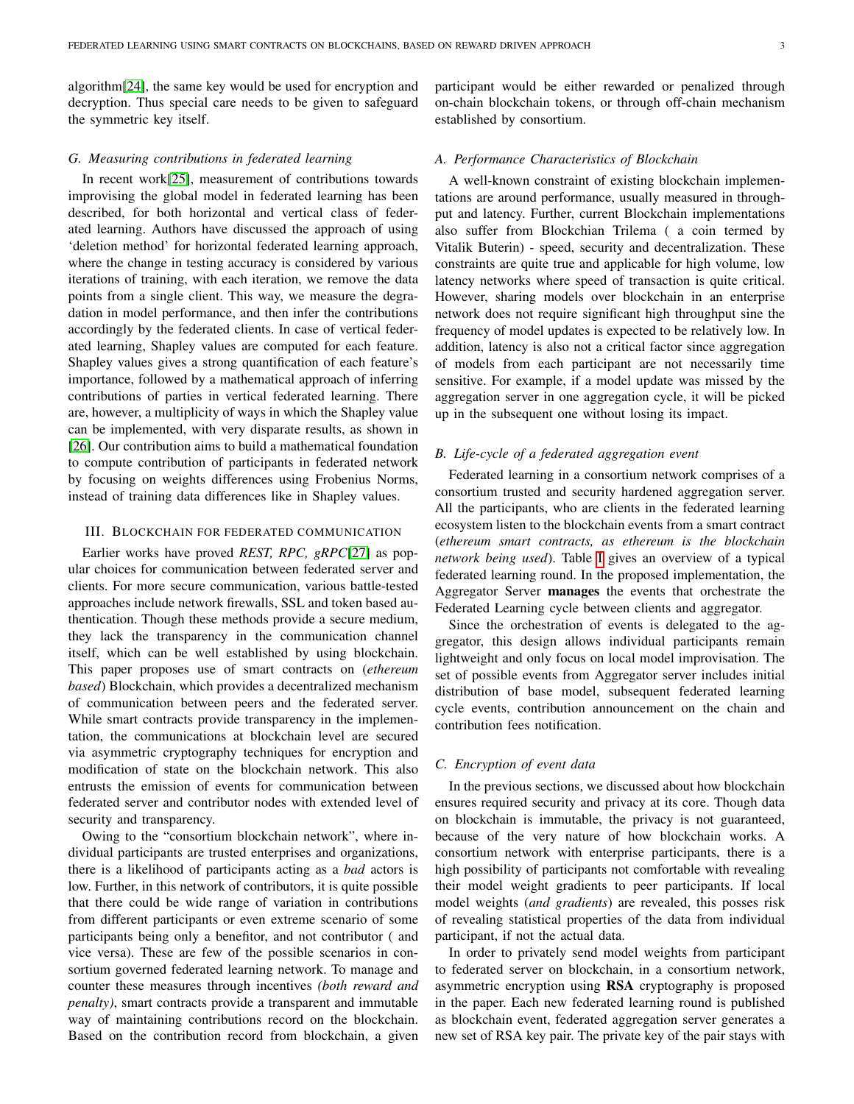algorithm[\[24\]](#page-8-6), the same key would be used for encryption and decryption. Thus special care needs to be given to safeguard the symmetric key itself.

## *G. Measuring contributions in federated learning*

In recent work[\[25\]](#page-8-7), measurement of contributions towards improvising the global model in federated learning has been described, for both horizontal and vertical class of federated learning. Authors have discussed the approach of using 'deletion method' for horizontal federated learning approach, where the change in testing accuracy is considered by various iterations of training, with each iteration, we remove the data points from a single client. This way, we measure the degradation in model performance, and then infer the contributions accordingly by the federated clients. In case of vertical federated learning, Shapley values are computed for each feature. Shapley values gives a strong quantification of each feature's importance, followed by a mathematical approach of inferring contributions of parties in vertical federated learning. There are, however, a multiplicity of ways in which the Shapley value can be implemented, with very disparate results, as shown in [\[26\]](#page-8-8). Our contribution aims to build a mathematical foundation to compute contribution of participants in federated network by focusing on weights differences using Frobenius Norms, instead of training data differences like in Shapley values.

## III. BLOCKCHAIN FOR FEDERATED COMMUNICATION

Earlier works have proved *REST, RPC, gRPC*[\[27\]](#page-8-9) as popular choices for communication between federated server and clients. For more secure communication, various battle-tested approaches include network firewalls, SSL and token based authentication. Though these methods provide a secure medium, they lack the transparency in the communication channel itself, which can be well established by using blockchain. This paper proposes use of smart contracts on (*ethereum based*) Blockchain, which provides a decentralized mechanism of communication between peers and the federated server. While smart contracts provide transparency in the implementation, the communications at blockchain level are secured via asymmetric cryptography techniques for encryption and modification of state on the blockchain network. This also entrusts the emission of events for communication between federated server and contributor nodes with extended level of security and transparency.

Owing to the "consortium blockchain network", where individual participants are trusted enterprises and organizations, there is a likelihood of participants acting as a *bad* actors is low. Further, in this network of contributors, it is quite possible that there could be wide range of variation in contributions from different participants or even extreme scenario of some participants being only a benefitor, and not contributor ( and vice versa). These are few of the possible scenarios in consortium governed federated learning network. To manage and counter these measures through incentives *(both reward and penalty)*, smart contracts provide a transparent and immutable way of maintaining contributions record on the blockchain. Based on the contribution record from blockchain, a given

participant would be either rewarded or penalized through on-chain blockchain tokens, or through off-chain mechanism established by consortium.

## *A. Performance Characteristics of Blockchain*

A well-known constraint of existing blockchain implementations are around performance, usually measured in throughput and latency. Further, current Blockchain implementations also suffer from Blockchian Trilema ( a coin termed by Vitalik Buterin) - speed, security and decentralization. These constraints are quite true and applicable for high volume, low latency networks where speed of transaction is quite critical. However, sharing models over blockchain in an enterprise network does not require significant high throughput sine the frequency of model updates is expected to be relatively low. In addition, latency is also not a critical factor since aggregation of models from each participant are not necessarily time sensitive. For example, if a model update was missed by the aggregation server in one aggregation cycle, it will be picked up in the subsequent one without losing its impact.

## *B. Life-cycle of a federated aggregation event*

Federated learning in a consortium network comprises of a consortium trusted and security hardened aggregation server. All the participants, who are clients in the federated learning ecosystem listen to the blockchain events from a smart contract (*ethereum smart contracts, as ethereum is the blockchain network being used*). Table [I](#page-3-0) gives an overview of a typical federated learning round. In the proposed implementation, the Aggregator Server manages the events that orchestrate the Federated Learning cycle between clients and aggregator.

Since the orchestration of events is delegated to the aggregator, this design allows individual participants remain lightweight and only focus on local model improvisation. The set of possible events from Aggregator server includes initial distribution of base model, subsequent federated learning cycle events, contribution announcement on the chain and contribution fees notification.

## *C. Encryption of event data*

In the previous sections, we discussed about how blockchain ensures required security and privacy at its core. Though data on blockchain is immutable, the privacy is not guaranteed, because of the very nature of how blockchain works. A consortium network with enterprise participants, there is a high possibility of participants not comfortable with revealing their model weight gradients to peer participants. If local model weights (*and gradients*) are revealed, this posses risk of revealing statistical properties of the data from individual participant, if not the actual data.

In order to privately send model weights from participant to federated server on blockchain, in a consortium network, asymmetric encryption using RSA cryptography is proposed in the paper. Each new federated learning round is published as blockchain event, federated aggregation server generates a new set of RSA key pair. The private key of the pair stays with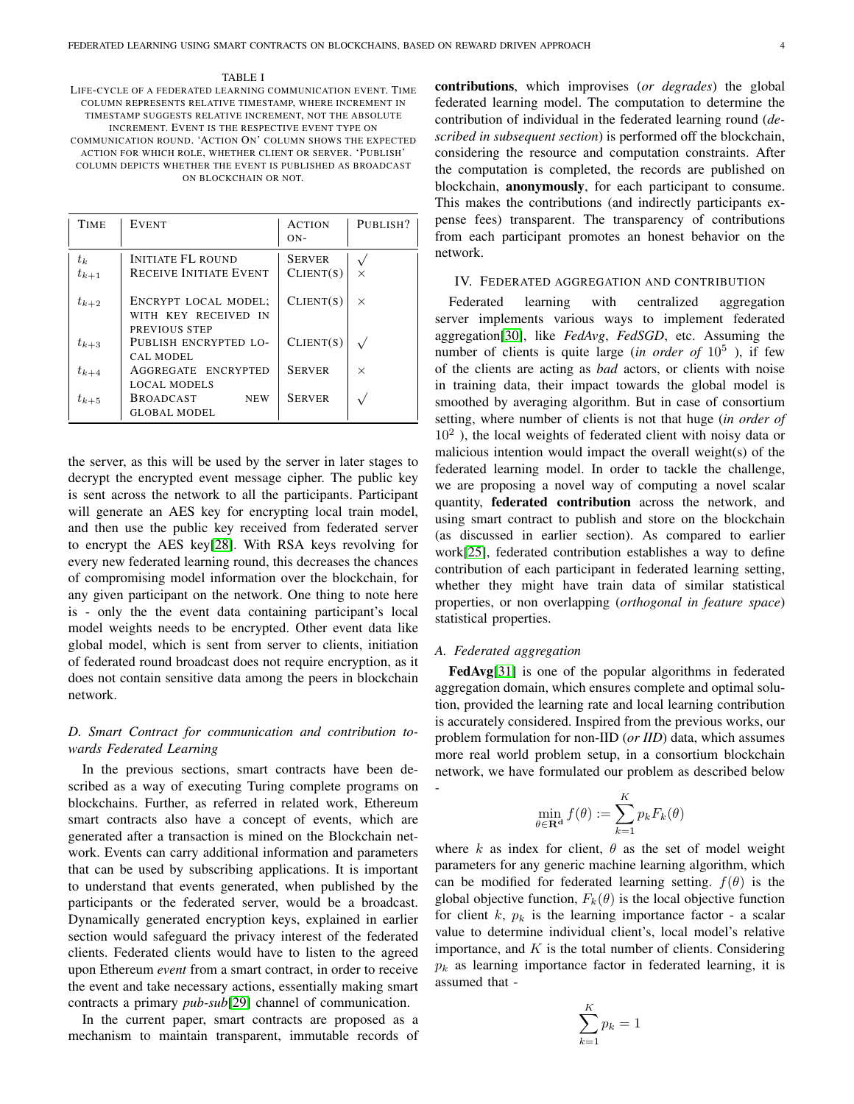<span id="page-3-0"></span>LIFE-CYCLE OF A FEDERATED LEARNING COMMUNICATION EVENT. TIME COLUMN REPRESENTS RELATIVE TIMESTAMP, WHERE INCREMENT IN TIMESTAMP SUGGESTS RELATIVE INCREMENT, NOT THE ABSOLUTE INCREMENT. EVENT IS THE RESPECTIVE EVENT TYPE ON COMMUNICATION ROUND. 'ACTION ON' COLUMN SHOWS THE EXPECTED ACTION FOR WHICH ROLE, WHETHER CLIENT OR SERVER. 'PUBLISH' COLUMN DEPICTS WHETHER THE EVENT IS PUBLISHED AS BROADCAST ON BLOCKCHAIN OR NOT.

| <b>TIME</b>        | <b>EVENT</b>                                                  | <b>ACTION</b><br>$ON-$     | PUBLISH? |
|--------------------|---------------------------------------------------------------|----------------------------|----------|
| $t_k$<br>$t_{k+1}$ | <b>INITIATE FL ROUND</b><br><b>RECEIVE INITIATE EVENT</b>     | <b>SERVER</b><br>CLIENT(S) | $\times$ |
| $t_{k+2}$          | ENCRYPT LOCAL MODEL;<br>WITH KEY RECEIVED IN<br>PREVIOUS STEP | CLIENT(S)                  | X        |
| $t_{k+3}$          | PUBLISH ENCRYPTED LO-<br>CAL MODEL                            | CLIENT(S)                  |          |
| $t_{k+4}$          | AGGREGATE ENCRYPTED<br>LOCAL MODELS                           | <b>SERVER</b>              | X        |
| $t_{k+5}$          | <b>BROADCAST</b><br><b>NEW</b><br><b>GLOBAL MODEL</b>         | <b>SERVER</b>              |          |

the server, as this will be used by the server in later stages to decrypt the encrypted event message cipher. The public key is sent across the network to all the participants. Participant will generate an AES key for encrypting local train model, and then use the public key received from federated server to encrypt the AES key[\[28\]](#page-8-10). With RSA keys revolving for every new federated learning round, this decreases the chances of compromising model information over the blockchain, for any given participant on the network. One thing to note here is - only the the event data containing participant's local model weights needs to be encrypted. Other event data like global model, which is sent from server to clients, initiation of federated round broadcast does not require encryption, as it does not contain sensitive data among the peers in blockchain network.

# *D. Smart Contract for communication and contribution towards Federated Learning*

In the previous sections, smart contracts have been described as a way of executing Turing complete programs on blockchains. Further, as referred in related work, Ethereum smart contracts also have a concept of events, which are generated after a transaction is mined on the Blockchain network. Events can carry additional information and parameters that can be used by subscribing applications. It is important to understand that events generated, when published by the participants or the federated server, would be a broadcast. Dynamically generated encryption keys, explained in earlier section would safeguard the privacy interest of the federated clients. Federated clients would have to listen to the agreed upon Ethereum *event* from a smart contract, in order to receive the event and take necessary actions, essentially making smart contracts a primary *pub-sub*[\[29\]](#page-8-11) channel of communication.

In the current paper, smart contracts are proposed as a mechanism to maintain transparent, immutable records of contributions, which improvises (*or degrades*) the global federated learning model. The computation to determine the contribution of individual in the federated learning round (*described in subsequent section*) is performed off the blockchain, considering the resource and computation constraints. After the computation is completed, the records are published on blockchain, anonymously, for each participant to consume. This makes the contributions (and indirectly participants expense fees) transparent. The transparency of contributions from each participant promotes an honest behavior on the network.

## IV. FEDERATED AGGREGATION AND CONTRIBUTION

Federated learning with centralized aggregation server implements various ways to implement federated aggregation[\[30\]](#page-8-12), like *FedAvg*, *FedSGD*, etc. Assuming the number of clients is quite large (*in order of* 10<sup>5</sup>), if few of the clients are acting as *bad* actors, or clients with noise in training data, their impact towards the global model is smoothed by averaging algorithm. But in case of consortium setting, where number of clients is not that huge (*in order of*  $10<sup>2</sup>$ ), the local weights of federated client with noisy data or malicious intention would impact the overall weight(s) of the federated learning model. In order to tackle the challenge, we are proposing a novel way of computing a novel scalar quantity, federated contribution across the network, and using smart contract to publish and store on the blockchain (as discussed in earlier section). As compared to earlier work[\[25\]](#page-8-7), federated contribution establishes a way to define contribution of each participant in federated learning setting, whether they might have train data of similar statistical properties, or non overlapping (*orthogonal in feature space*) statistical properties.

## *A. Federated aggregation*

FedAvg[\[31\]](#page-8-13) is one of the popular algorithms in federated aggregation domain, which ensures complete and optimal solution, provided the learning rate and local learning contribution is accurately considered. Inspired from the previous works, our problem formulation for non-IID (*or IID*) data, which assumes more real world problem setup, in a consortium blockchain network, we have formulated our problem as described below -

$$
\min_{\theta \in \mathbf{R}^{\mathbf{d}}} f(\theta) := \sum_{k=1}^{K} p_k F_k(\theta)
$$

where k as index for client,  $\theta$  as the set of model weight parameters for any generic machine learning algorithm, which can be modified for federated learning setting.  $f(\theta)$  is the global objective function,  $F_k(\theta)$  is the local objective function for client k,  $p_k$  is the learning importance factor - a scalar value to determine individual client's, local model's relative importance, and  $K$  is the total number of clients. Considering  $p_k$  as learning importance factor in federated learning, it is assumed that -

$$
\sum_{k=1}^{K} p_k = 1
$$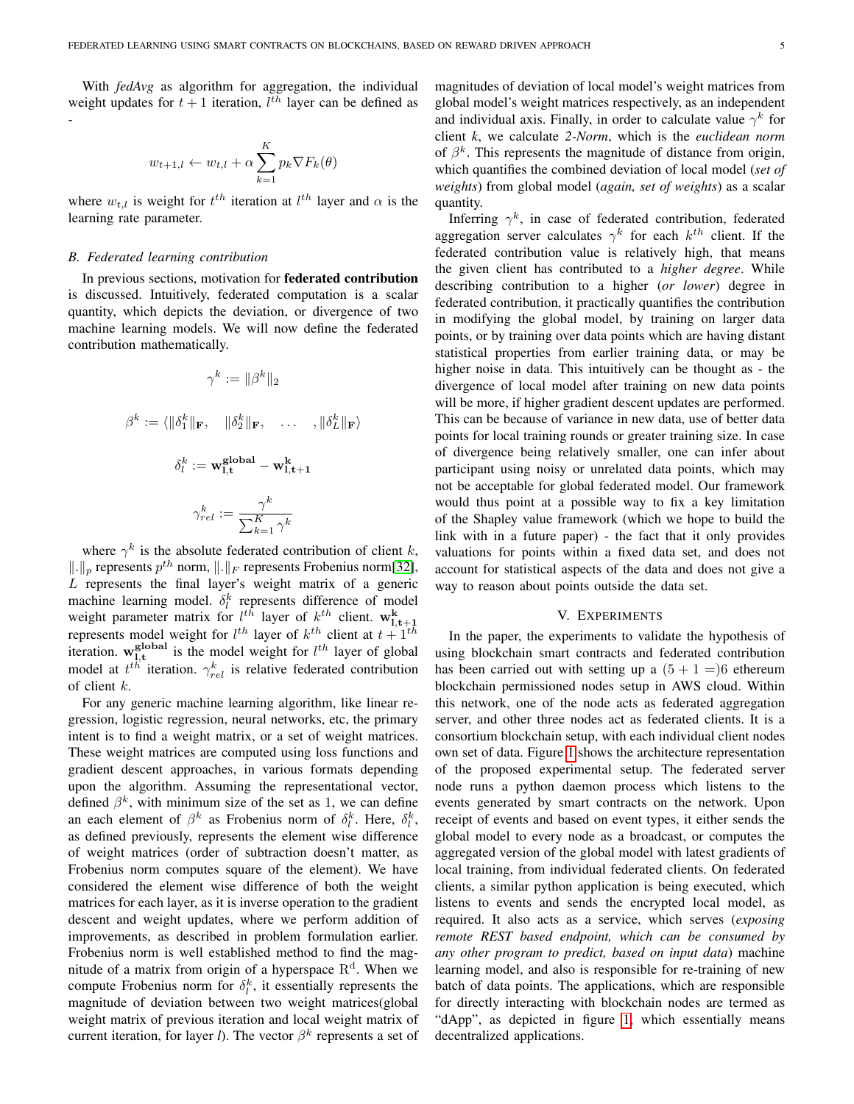With *fedAvg* as algorithm for aggregation, the individual weight updates for  $t + 1$  iteration,  $l^{th}$  layer can be defined as -

$$
w_{t+1,l} \leftarrow w_{t,l} + \alpha \sum_{k=1}^{K} p_k \nabla F_k(\theta)
$$

where  $w_{t,l}$  is weight for  $t^{th}$  iteration at  $l^{th}$  layer and  $\alpha$  is the learning rate parameter.

#### *B. Federated learning contribution*

In previous sections, motivation for federated contribution is discussed. Intuitively, federated computation is a scalar quantity, which depicts the deviation, or divergence of two machine learning models. We will now define the federated contribution mathematically.

$$
\gamma^{k} := \|\beta^{k}\|_{2}
$$

$$
\beta^{k} := \langle \|\delta_{1}^{k}\|_{\mathbf{F}}, \quad \|\delta_{2}^{k}\|_{\mathbf{F}}, \quad \dots \quad, \|\delta_{L}^{k}\|_{\mathbf{F}}\rangle
$$

$$
\delta_{l}^{k} := \mathbf{w}_{1,\mathbf{t}}^{\mathbf{global}} - \mathbf{w}_{1,\mathbf{t}+1}^{\mathbf{k}}
$$

$$
\gamma_{rel}^{k} := \frac{\gamma^{k}}{\sum_{k=1}^{K} \gamma^{k}}
$$

where  $\gamma^k$  is the absolute federated contribution of client k,  $\Vert . \Vert_p$  represents  $p^{th}$  norm,  $\Vert . \Vert_F$  represents Frobenius norm[\[32\]](#page-8-14),  $L$  represents the final layer's weight matrix of a generic machine learning model.  $\delta_l^k$  represents difference of model matrine tearning model.  $v_l$  represents difference of model<br>weight parameter matrix for  $l^{th}$  layer of  $k^{th}$  client.  $\mathbf{w}_{1,t+1}$ <br>represents model weight for  $l^{th}$  layer of  $k^{th}$  client at  $t+1^{th}$ iteration.  $\mathbf{w}_{1,t}^{\text{global}}$  is the model weight for  $l^{th}$  layer of global model at  $t^{th}$  iteration.  $\gamma_{rel}^k$  is relative federated contribution of client k.

For any generic machine learning algorithm, like linear regression, logistic regression, neural networks, etc, the primary intent is to find a weight matrix, or a set of weight matrices. These weight matrices are computed using loss functions and gradient descent approaches, in various formats depending upon the algorithm. Assuming the representational vector, defined  $\beta^k$ , with minimum size of the set as 1, we can define an each element of  $\beta^k$  as Frobenius norm of  $\delta_l^k$ . Here,  $\delta_l^k$ , as defined previously, represents the element wise difference of weight matrices (order of subtraction doesn't matter, as Frobenius norm computes square of the element). We have considered the element wise difference of both the weight matrices for each layer, as it is inverse operation to the gradient descent and weight updates, where we perform addition of improvements, as described in problem formulation earlier. Frobenius norm is well established method to find the magnitude of a matrix from origin of a hyperspace  $\mathbb{R}^d$ . When we compute Frobenius norm for  $\delta_l^k$ , it essentially represents the magnitude of deviation between two weight matrices(global weight matrix of previous iteration and local weight matrix of current iteration, for layer *l*). The vector  $\beta^k$  represents a set of magnitudes of deviation of local model's weight matrices from global model's weight matrices respectively, as an independent and individual axis. Finally, in order to calculate value  $\gamma^k$  for client *k*, we calculate *2-Norm*, which is the *euclidean norm* of  $\beta^k$ . This represents the magnitude of distance from origin, which quantifies the combined deviation of local model (*set of weights*) from global model (*again, set of weights*) as a scalar quantity.

Inferring  $\gamma^k$ , in case of federated contribution, federated aggregation server calculates  $\gamma^k$  for each  $k^{th}$  client. If the federated contribution value is relatively high, that means the given client has contributed to a *higher degree*. While describing contribution to a higher (*or lower*) degree in federated contribution, it practically quantifies the contribution in modifying the global model, by training on larger data points, or by training over data points which are having distant statistical properties from earlier training data, or may be higher noise in data. This intuitively can be thought as - the divergence of local model after training on new data points will be more, if higher gradient descent updates are performed. This can be because of variance in new data, use of better data points for local training rounds or greater training size. In case of divergence being relatively smaller, one can infer about participant using noisy or unrelated data points, which may not be acceptable for global federated model. Our framework would thus point at a possible way to fix a key limitation of the Shapley value framework (which we hope to build the link with in a future paper) - the fact that it only provides valuations for points within a fixed data set, and does not account for statistical aspects of the data and does not give a way to reason about points outside the data set.

## V. EXPERIMENTS

In the paper, the experiments to validate the hypothesis of using blockchain smart contracts and federated contribution has been carried out with setting up a  $(5 + 1 =)6$  ethereum blockchain permissioned nodes setup in AWS cloud. Within this network, one of the node acts as federated aggregation server, and other three nodes act as federated clients. It is a consortium blockchain setup, with each individual client nodes own set of data. Figure [1](#page-5-0) shows the architecture representation of the proposed experimental setup. The federated server node runs a python daemon process which listens to the events generated by smart contracts on the network. Upon receipt of events and based on event types, it either sends the global model to every node as a broadcast, or computes the aggregated version of the global model with latest gradients of local training, from individual federated clients. On federated clients, a similar python application is being executed, which listens to events and sends the encrypted local model, as required. It also acts as a service, which serves (*exposing remote REST based endpoint, which can be consumed by any other program to predict, based on input data*) machine learning model, and also is responsible for re-training of new batch of data points. The applications, which are responsible for directly interacting with blockchain nodes are termed as "dApp", as depicted in figure [1,](#page-5-0) which essentially means decentralized applications.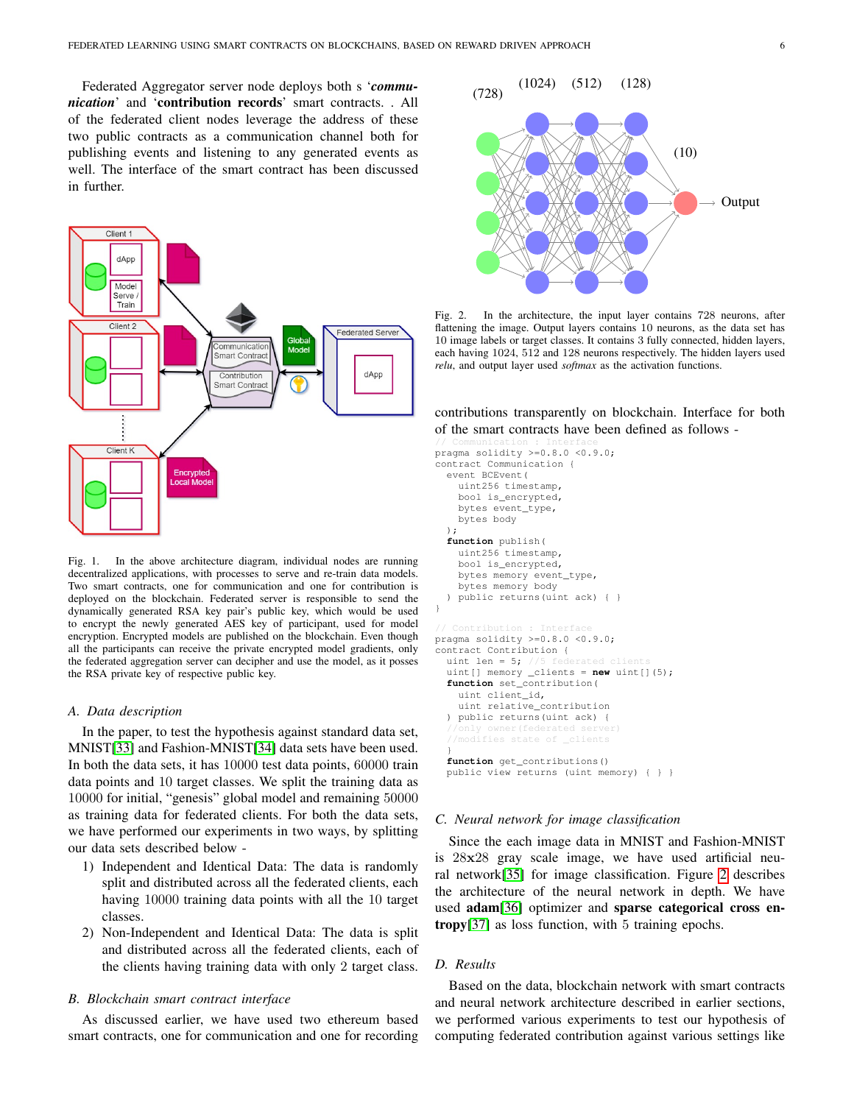Federated Aggregator server node deploys both s '*communication*' and 'contribution records' smart contracts. . All of the federated client nodes leverage the address of these two public contracts as a communication channel both for publishing events and listening to any generated events as well. The interface of the smart contract has been discussed in further.



<span id="page-5-0"></span>Fig. 1. In the above architecture diagram, individual nodes are running decentralized applications, with processes to serve and re-train data models. Two smart contracts, one for communication and one for contribution is deployed on the blockchain. Federated server is responsible to send the dynamically generated RSA key pair's public key, which would be used to encrypt the newly generated AES key of participant, used for model encryption. Encrypted models are published on the blockchain. Even though all the participants can receive the private encrypted model gradients, only the federated aggregation server can decipher and use the model, as it posses the RSA private key of respective public key.

## *A. Data description*

In the paper, to test the hypothesis against standard data set, MNIST[\[33\]](#page-8-15) and Fashion-MNIST[\[34\]](#page-8-16) data sets have been used. In both the data sets, it has 10000 test data points, 60000 train data points and 10 target classes. We split the training data as 10000 for initial, "genesis" global model and remaining 50000 as training data for federated clients. For both the data sets, we have performed our experiments in two ways, by splitting our data sets described below -

- 1) Independent and Identical Data: The data is randomly split and distributed across all the federated clients, each having 10000 training data points with all the 10 target classes.
- 2) Non-Independent and Identical Data: The data is split and distributed across all the federated clients, each of the clients having training data with only 2 target class.

### *B. Blockchain smart contract interface*

As discussed earlier, we have used two ethereum based smart contracts, one for communication and one for recording



<span id="page-5-1"></span>Fig. 2. In the architecture, the input layer contains 728 neurons, after flattening the image. Output layers contains 10 neurons, as the data set has 10 image labels or target classes. It contains 3 fully connected, hidden layers, each having 1024, 512 and 128 neurons respectively. The hidden layers used *relu*, and output layer used *softmax* as the activation functions.

contributions transparently on blockchain. Interface for both of the smart contracts have been defined as follows -

```
// Communication : Interface
pragma solidity >=0.8.0 <0.9.0;
contract Communication {
  event BCEvent(
    uint256 timestamp,
    bool is_encrypted,
    bytes event_type,
    bytes body
  );
  function publish(
    uint256 timestamp,
    bool is_encrypted,
    bytes memory event_type,
bytes memory body
  ) public returns(uint ack) { }
}
pragma solidity >=0.8.0 <0.9.0;
contract Contribution {
  uint len = 5;uint[] memory _clients = new uint[](5);
  function set_contribution(
    uint client_id,
    uint relative_contribution
  ) public returns(uint ack) {
         owner (federated server
  //modifies state of _clients
  }
  function get_contributions()
  public view returns (uint memory) { } }
```
## *C. Neural network for image classification*

Since the each image data in MNIST and Fashion-MNIST is 28x28 gray scale image, we have used artificial neural network[\[35\]](#page-8-17) for image classification. Figure [2](#page-5-1) describes the architecture of the neural network in depth. We have used adam[\[36\]](#page-8-18) optimizer and sparse categorical cross entropy[\[37\]](#page-8-19) as loss function, with 5 training epochs.

## *D. Results*

Based on the data, blockchain network with smart contracts and neural network architecture described in earlier sections, we performed various experiments to test our hypothesis of computing federated contribution against various settings like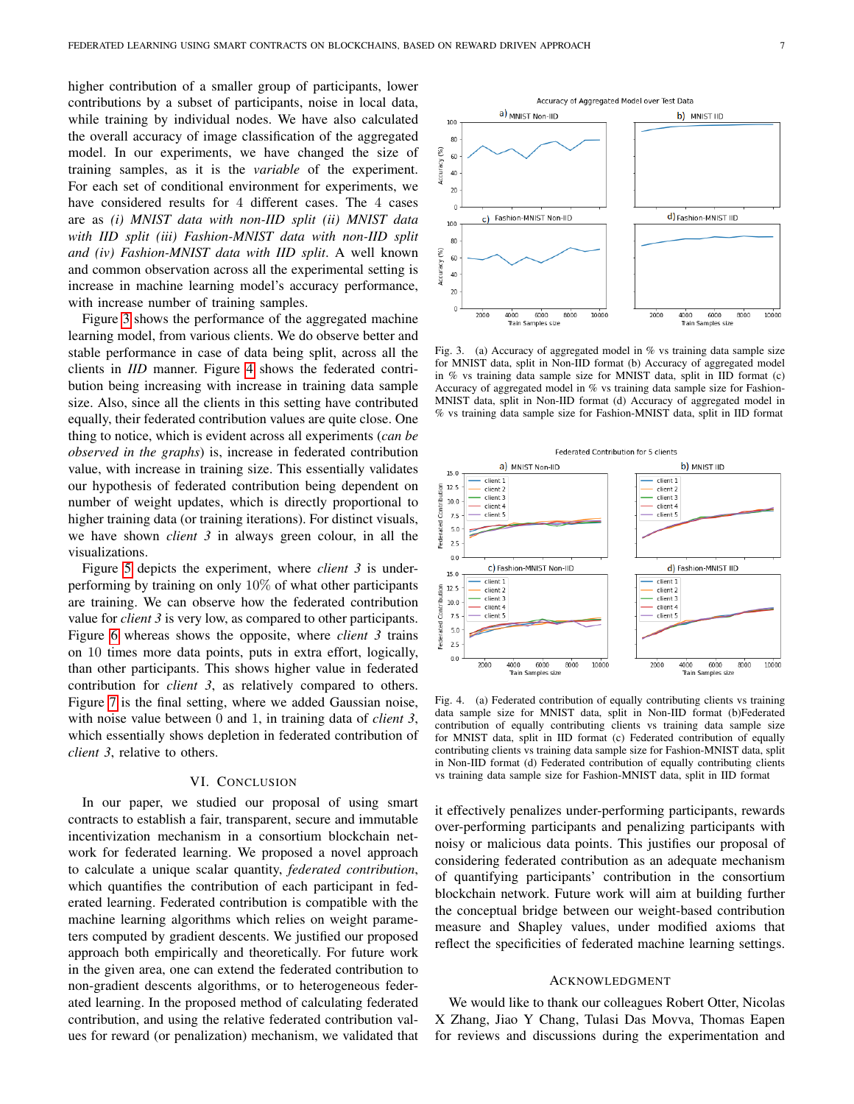higher contribution of a smaller group of participants, lower contributions by a subset of participants, noise in local data, while training by individual nodes. We have also calculated the overall accuracy of image classification of the aggregated model. In our experiments, we have changed the size of training samples, as it is the *variable* of the experiment. For each set of conditional environment for experiments, we have considered results for 4 different cases. The 4 cases are as *(i) MNIST data with non-IID split (ii) MNIST data with IID split (iii) Fashion-MNIST data with non-IID split and (iv) Fashion-MNIST data with IID split*. A well known and common observation across all the experimental setting is increase in machine learning model's accuracy performance, with increase number of training samples.

Figure [3](#page-6-0) shows the performance of the aggregated machine learning model, from various clients. We do observe better and stable performance in case of data being split, across all the clients in *IID* manner. Figure [4](#page-6-1) shows the federated contribution being increasing with increase in training data sample size. Also, since all the clients in this setting have contributed equally, their federated contribution values are quite close. One thing to notice, which is evident across all experiments (*can be observed in the graphs*) is, increase in federated contribution value, with increase in training size. This essentially validates our hypothesis of federated contribution being dependent on number of weight updates, which is directly proportional to higher training data (or training iterations). For distinct visuals, we have shown *client 3* in always green colour, in all the visualizations.

Figure [5](#page-7-17) depicts the experiment, where *client 3* is underperforming by training on only 10% of what other participants are training. We can observe how the federated contribution value for *client 3* is very low, as compared to other participants. Figure [6](#page-7-18) whereas shows the opposite, where *client 3* trains on 10 times more data points, puts in extra effort, logically, than other participants. This shows higher value in federated contribution for *client 3*, as relatively compared to others. Figure [7](#page-7-19) is the final setting, where we added Gaussian noise, with noise value between 0 and 1, in training data of *client 3*, which essentially shows depletion in federated contribution of *client 3*, relative to others.

# VI. CONCLUSION

In our paper, we studied our proposal of using smart contracts to establish a fair, transparent, secure and immutable incentivization mechanism in a consortium blockchain network for federated learning. We proposed a novel approach to calculate a unique scalar quantity, *federated contribution*, which quantifies the contribution of each participant in federated learning. Federated contribution is compatible with the machine learning algorithms which relies on weight parameters computed by gradient descents. We justified our proposed approach both empirically and theoretically. For future work in the given area, one can extend the federated contribution to non-gradient descents algorithms, or to heterogeneous federated learning. In the proposed method of calculating federated contribution, and using the relative federated contribution values for reward (or penalization) mechanism, we validated that



<span id="page-6-0"></span>Fig. 3. (a) Accuracy of aggregated model in % vs training data sample size for MNIST data, split in Non-IID format (b) Accuracy of aggregated model in % vs training data sample size for MNIST data, split in IID format (c) Accuracy of aggregated model in % vs training data sample size for Fashion-MNIST data, split in Non-IID format (d) Accuracy of aggregated model in % vs training data sample size for Fashion-MNIST data, split in IID format



<span id="page-6-1"></span>Fig. 4. (a) Federated contribution of equally contributing clients vs training data sample size for MNIST data, split in Non-IID format (b)Federated contribution of equally contributing clients vs training data sample size for MNIST data, split in IID format (c) Federated contribution of equally contributing clients vs training data sample size for Fashion-MNIST data, split in Non-IID format (d) Federated contribution of equally contributing clients vs training data sample size for Fashion-MNIST data, split in IID format

it effectively penalizes under-performing participants, rewards over-performing participants and penalizing participants with noisy or malicious data points. This justifies our proposal of considering federated contribution as an adequate mechanism of quantifying participants' contribution in the consortium blockchain network. Future work will aim at building further the conceptual bridge between our weight-based contribution measure and Shapley values, under modified axioms that reflect the specificities of federated machine learning settings.

#### ACKNOWLEDGMENT

We would like to thank our colleagues Robert Otter, Nicolas X Zhang, Jiao Y Chang, Tulasi Das Movva, Thomas Eapen for reviews and discussions during the experimentation and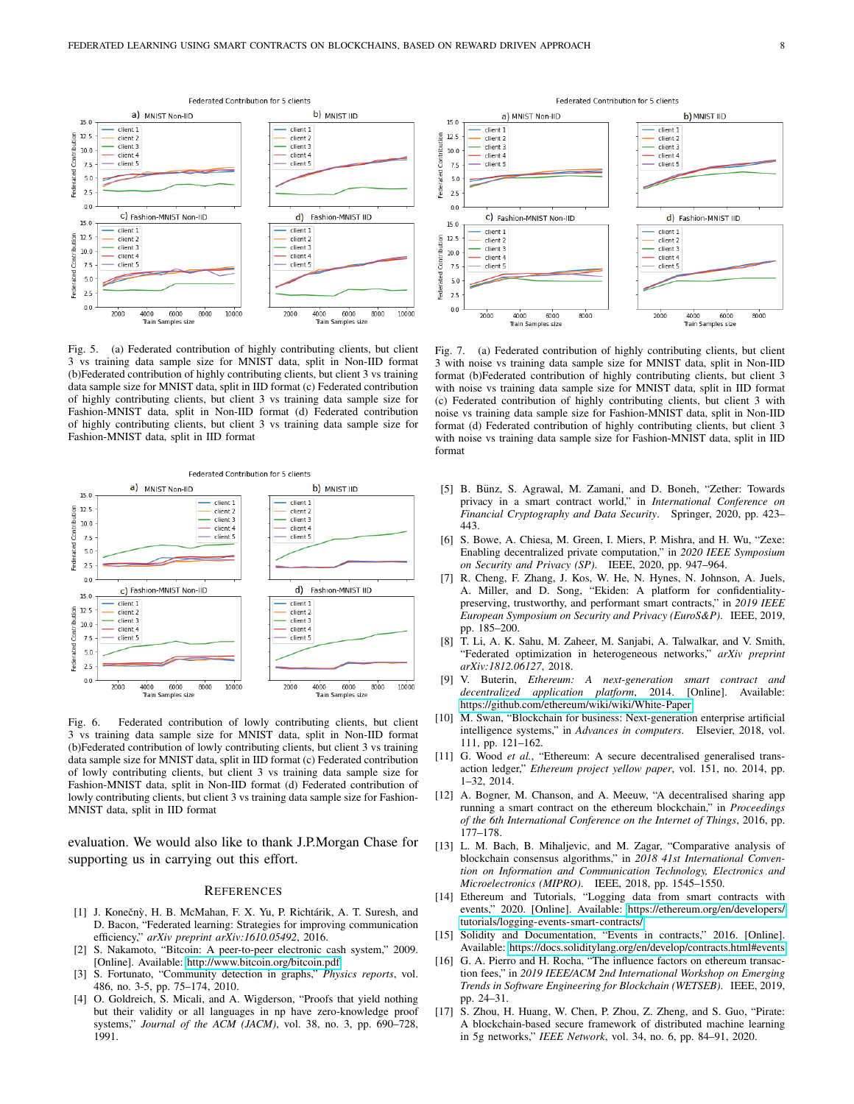tion

Federated Contribu

ion

Federated Contrib



<span id="page-7-17"></span>Fig. 5. (a) Federated contribution of highly contributing clients, but client 3 vs training data sample size for MNIST data, split in Non-IID format (b)Federated contribution of highly contributing clients, but client 3 vs training data sample size for MNIST data, split in IID format (c) Federated contribution of highly contributing clients, but client 3 vs training data sample size for Fashion-MNIST data, split in Non-IID format (d) Federated contribution of highly contributing clients, but client 3 vs training data sample size for Fashion-MNIST data, split in IID format



<span id="page-7-18"></span>Fig. 6. Federated contribution of lowly contributing clients, but client 3 vs training data sample size for MNIST data, split in Non-IID format (b)Federated contribution of lowly contributing clients, but client 3 vs training data sample size for MNIST data, split in IID format (c) Federated contribution of lowly contributing clients, but client 3 vs training data sample size for Fashion-MNIST data, split in Non-IID format (d) Federated contribution of lowly contributing clients, but client 3 vs training data sample size for Fashion-MNIST data, split in IID format

evaluation. We would also like to thank J.P.Morgan Chase for supporting us in carrying out this effort.

#### **REFERENCES**

- <span id="page-7-0"></span>[1] J. Konečnỳ, H. B. McMahan, F. X. Yu, P. Richtárik, A. T. Suresh, and D. Bacon, "Federated learning: Strategies for improving communication efficiency," *arXiv preprint arXiv:1610.05492*, 2016.
- <span id="page-7-1"></span>[2] S. Nakamoto, "Bitcoin: A peer-to-peer electronic cash system," 2009. [Online]. Available:<http://www.bitcoin.org/bitcoin.pdf>
- <span id="page-7-2"></span>[3] S. Fortunato, "Community detection in graphs," *Physics reports*, vol. 486, no. 3-5, pp. 75–174, 2010.
- <span id="page-7-3"></span>[4] O. Goldreich, S. Micali, and A. Wigderson, "Proofs that yield nothing but their validity or all languages in np have zero-knowledge proof systems," *Journal of the ACM (JACM)*, vol. 38, no. 3, pp. 690–728, 1991.

a) MNIST Non-IID b) MNIST IID  $15.0$ client 1 client 1  $12.5$ client 2 client 2 client 3 client 3  $10.0$ client 4 client 4  $7.5$ client 5 client 5  $5.0$  $2.5$  $0.0$ C) Fashion-MNIST Non-IID d) Fashion-MNIST IID  $15.0$ client 1  $client 1$  $12.5$ client 2 client 2 client 3 client 3  $10<sub>0</sub>$ client client 4  $7.5$ client 5 client 5  $5.0$  $2.5$  $0.0$ 2000 6000 8000 2000 6000 8000 4000 4000

Federated Contribution for 5 clients

Fig. 7. (a) Federated contribution of highly contributing clients, but client 3 with noise vs training data sample size for MNIST data, split in Non-IID format (b)Federated contribution of highly contributing clients, but client 3 with noise vs training data sample size for MNIST data, split in IID format (c) Federated contribution of highly contributing clients, but client 3 with noise vs training data sample size for Fashion-MNIST data, split in Non-IID format (d) Federated contribution of highly contributing clients, but client 3 with noise vs training data sample size for Fashion-MNIST data, split in IID format

Train Samples siz

<span id="page-7-19"></span>Train Samples size

- <span id="page-7-4"></span>[5] B. Bünz, S. Agrawal, M. Zamani, and D. Boneh, "Zether: Towards privacy in a smart contract world," in *International Conference on Financial Cryptography and Data Security*. Springer, 2020, pp. 423– 443.
- <span id="page-7-5"></span>[6] S. Bowe, A. Chiesa, M. Green, I. Miers, P. Mishra, and H. Wu, "Zexe: Enabling decentralized private computation," in *2020 IEEE Symposium on Security and Privacy (SP)*. IEEE, 2020, pp. 947–964.
- <span id="page-7-6"></span>[7] R. Cheng, F. Zhang, J. Kos, W. He, N. Hynes, N. Johnson, A. Juels, A. Miller, and D. Song, "Ekiden: A platform for confidentialitypreserving, trustworthy, and performant smart contracts," in *2019 IEEE European Symposium on Security and Privacy (EuroS&P)*. IEEE, 2019, pp. 185–200.
- <span id="page-7-7"></span>[8] T. Li, A. K. Sahu, M. Zaheer, M. Sanjabi, A. Talwalkar, and V. Smith, "Federated optimization in heterogeneous networks," *arXiv preprint arXiv:1812.06127*, 2018.
- <span id="page-7-8"></span>[9] V. Buterin, *Ethereum: A next-generation smart contract and decentralized application platform*, 2014. [Online]. Available: <https://github.com/ethereum/wiki/wiki/White-Paper>
- <span id="page-7-9"></span>[10] M. Swan, "Blockchain for business: Next-generation enterprise artificial intelligence systems," in *Advances in computers*. Elsevier, 2018, vol. 111, pp. 121–162.
- <span id="page-7-10"></span>[11] G. Wood *et al.*, "Ethereum: A secure decentralised generalised transaction ledger," *Ethereum project yellow paper*, vol. 151, no. 2014, pp. 1–32, 2014.
- <span id="page-7-11"></span>[12] A. Bogner, M. Chanson, and A. Meeuw, "A decentralised sharing app running a smart contract on the ethereum blockchain," in *Proceedings of the 6th International Conference on the Internet of Things*, 2016, pp. 177–178.
- <span id="page-7-12"></span>[13] L. M. Bach, B. Mihaljevic, and M. Zagar, "Comparative analysis of blockchain consensus algorithms," in *2018 41st International Convention on Information and Communication Technology, Electronics and Microelectronics (MIPRO)*. IEEE, 2018, pp. 1545–1550.
- <span id="page-7-13"></span>[14] Ethereum and Tutorials, "Logging data from smart contracts with events," 2020. [Online]. Available: [https://ethereum.org/en/developers/](https://ethereum.org/en/developers/tutorials/logging-events-smart-contracts/) [tutorials/logging-events-smart-contracts/](https://ethereum.org/en/developers/tutorials/logging-events-smart-contracts/)
- <span id="page-7-14"></span>[15] Solidity and Documentation, "Events in contracts," 2016. [Online]. Available:<https://docs.soliditylang.org/en/develop/contracts.html#events>
- <span id="page-7-15"></span>[16] G. A. Pierro and H. Rocha, "The influence factors on ethereum transaction fees," in *2019 IEEE/ACM 2nd International Workshop on Emerging Trends in Software Engineering for Blockchain (WETSEB)*. IEEE, 2019, pp. 24–31.
- <span id="page-7-16"></span>[17] S. Zhou, H. Huang, W. Chen, P. Zhou, Z. Zheng, and S. Guo, "Pirate: A blockchain-based secure framework of distributed machine learning in 5g networks," *IEEE Network*, vol. 34, no. 6, pp. 84–91, 2020.